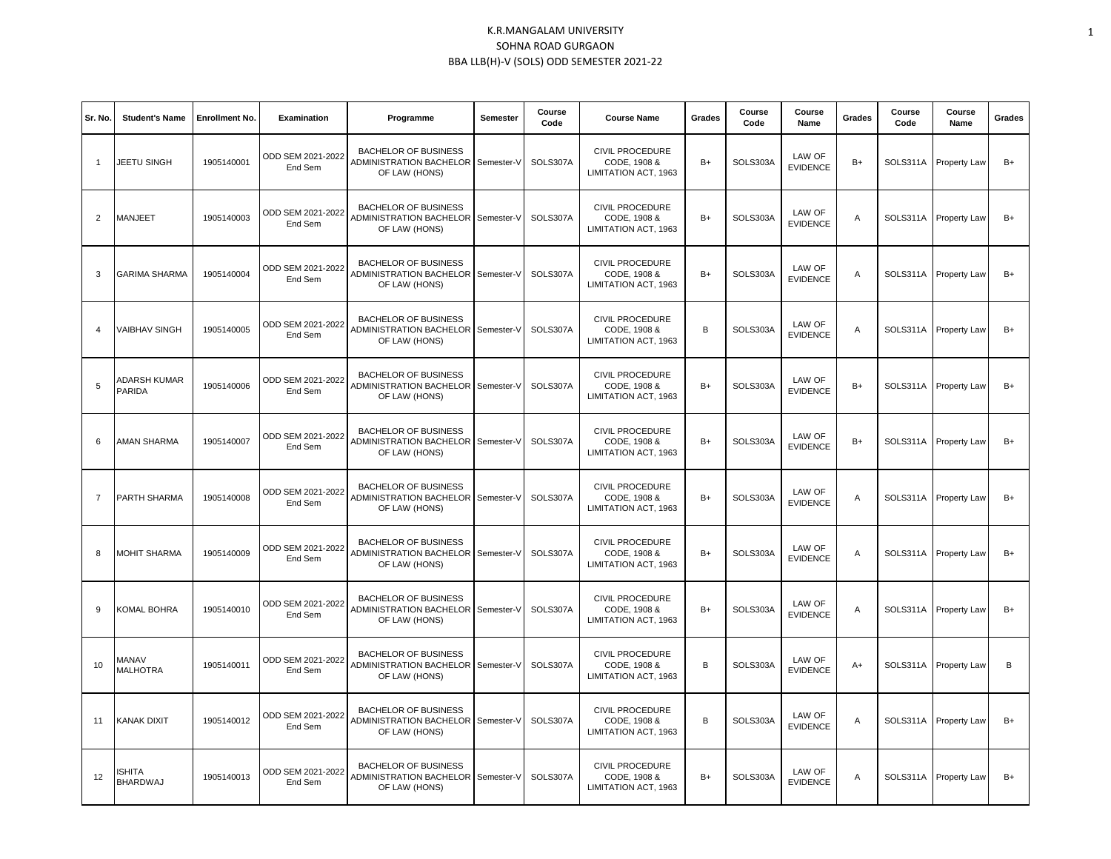| Sr. No.        | <b>Student's Name</b>            | <b>Enrollment No.</b> | <b>Examination</b>           | Programme                                                                          | Semester   | Course<br>Code | <b>Course Name</b>                                             | Grades | Course<br>Code | Course<br>Name            | Grades         | Course<br>Code | Course<br>Name        | Grades |
|----------------|----------------------------------|-----------------------|------------------------------|------------------------------------------------------------------------------------|------------|----------------|----------------------------------------------------------------|--------|----------------|---------------------------|----------------|----------------|-----------------------|--------|
| $\mathbf{1}$   | JEETU SINGH                      | 1905140001            | ODD SEM 2021-2022<br>End Sem | <b>BACHELOR OF BUSINESS</b><br>ADMINISTRATION BACHELOR<br>OF LAW (HONS)            | Semester-\ | SOLS307A       | <b>CIVIL PROCEDURE</b><br>CODE, 1908 &<br>LIMITATION ACT, 1963 | $B+$   | SOLS303A       | LAW OF<br><b>EVIDENCE</b> | $B+$           |                | SOLS311A Property Law | $B+$   |
| $\overline{2}$ | MANJEET                          | 1905140003            | ODD SEM 2021-2022<br>End Sem | <b>BACHELOR OF BUSINESS</b><br>ADMINISTRATION BACHELOR<br>OF LAW (HONS)            | Semester-\ | SOLS307A       | <b>CIVIL PROCEDURE</b><br>CODE, 1908 &<br>LIMITATION ACT, 1963 | $B+$   | SOLS303A       | LAW OF<br><b>EVIDENCE</b> | A              |                | SOLS311A Property Law | $B+$   |
| 3              | <b>GARIMA SHARMA</b>             | 1905140004            | ODD SEM 2021-2022<br>End Sem | <b>BACHELOR OF BUSINESS</b><br>ADMINISTRATION BACHELOR<br>OF LAW (HONS)            | Semester-\ | SOLS307A       | <b>CIVIL PROCEDURE</b><br>CODE, 1908 &<br>LIMITATION ACT, 1963 | $B+$   | SOLS303A       | LAW OF<br><b>EVIDENCE</b> | Α              | SOLS311A       | <b>Property Law</b>   | $B+$   |
| $\overline{4}$ | <b>VAIBHAV SINGH</b>             | 1905140005            | ODD SEM 2021-2022<br>End Sem | <b>BACHELOR OF BUSINESS</b><br>ADMINISTRATION BACHELOR<br>OF LAW (HONS)            | Semester-V | SOLS307A       | <b>CIVIL PROCEDURE</b><br>CODE, 1908 &<br>LIMITATION ACT, 1963 | B      | SOLS303A       | LAW OF<br><b>EVIDENCE</b> | Α              |                | SOLS311A Property Law | $B+$   |
| 5              | <b>ADARSH KUMAR</b><br>PARIDA    | 1905140006            | ODD SEM 2021-2022<br>End Sem | <b>BACHELOR OF BUSINESS</b><br>ADMINISTRATION BACHELOR<br>OF LAW (HONS)            | Semester-V | SOLS307A       | <b>CIVIL PROCEDURE</b><br>CODE, 1908 &<br>LIMITATION ACT, 1963 | $B+$   | SOLS303A       | LAW OF<br><b>EVIDENCE</b> | $B+$           |                | SOLS311A Property Law | $B+$   |
| 6              | <b>AMAN SHARMA</b>               | 1905140007            | ODD SEM 2021-2022<br>End Sem | <b>BACHELOR OF BUSINESS</b><br>ADMINISTRATION BACHELOR<br>OF LAW (HONS)            | Semester-V | SOLS307A       | CIVIL PROCEDURE<br>CODE, 1908 &<br>LIMITATION ACT, 1963        | $B+$   | SOLS303A       | LAW OF<br><b>EVIDENCE</b> | $B+$           |                | SOLS311A Property Law | $B+$   |
| $\overline{7}$ | PARTH SHARMA                     | 1905140008            | ODD SEM 2021-2022<br>End Sem | <b>BACHELOR OF BUSINESS</b><br>ADMINISTRATION BACHELOR<br>OF LAW (HONS)            | Semester-V | SOLS307A       | <b>CIVIL PROCEDURE</b><br>CODE, 1908 &<br>LIMITATION ACT, 1963 | $B+$   | SOLS303A       | LAW OF<br><b>EVIDENCE</b> | Α              |                | SOLS311A Property Law | $B+$   |
| 8              | <b>MOHIT SHARMA</b>              | 1905140009            | ODD SEM 2021-2022<br>End Sem | <b>BACHELOR OF BUSINESS</b><br>ADMINISTRATION BACHELOR Semester-V<br>OF LAW (HONS) |            | SOLS307A       | <b>CIVIL PROCEDURE</b><br>CODE, 1908 &<br>LIMITATION ACT, 1963 | $B+$   | SOLS303A       | LAW OF<br><b>EVIDENCE</b> | Α              |                | SOLS311A Property Law | $B+$   |
| 9              | KOMAL BOHRA                      | 1905140010            | ODD SEM 2021-2022<br>End Sem | <b>BACHELOR OF BUSINESS</b><br>ADMINISTRATION BACHELOR<br>OF LAW (HONS)            | Semester-V | SOLS307A       | <b>CIVIL PROCEDURE</b><br>CODE, 1908 &<br>LIMITATION ACT, 1963 | $B+$   | SOLS303A       | LAW OF<br><b>EVIDENCE</b> | $\overline{A}$ |                | SOLS311A Property Law | $B+$   |
| 10             | MANAV<br><b>MALHOTRA</b>         | 1905140011            | ODD SEM 2021-2022<br>End Sem | <b>BACHELOR OF BUSINESS</b><br>ADMINISTRATION BACHELOR<br>OF LAW (HONS)            | Semester-V | SOLS307A       | <b>CIVIL PROCEDURE</b><br>CODE, 1908 &<br>LIMITATION ACT, 1963 | B      | SOLS303A       | LAW OF<br><b>EVIDENCE</b> | A+             |                | SOLS311A Property Law | B      |
| 11             | <b>KANAK DIXIT</b>               | 1905140012            | ODD SEM 2021-2022<br>End Sem | <b>BACHELOR OF BUSINESS</b><br>ADMINISTRATION BACHELOR Semester-V<br>OF LAW (HONS) |            | SOLS307A       | <b>CIVIL PROCEDURE</b><br>CODE, 1908 &<br>LIMITATION ACT, 1963 | B      | SOLS303A       | LAW OF<br><b>EVIDENCE</b> | Α              |                | SOLS311A Property Law | $B+$   |
| 12             | <b>ISHITA</b><br><b>BHARDWAJ</b> | 1905140013            | ODD SEM 2021-2022<br>End Sem | <b>BACHELOR OF BUSINESS</b><br>ADMINISTRATION BACHELOR Semester-V<br>OF LAW (HONS) |            | SOLS307A       | <b>CIVIL PROCEDURE</b><br>CODE, 1908 &<br>LIMITATION ACT. 1963 | $B+$   | SOLS303A       | LAW OF<br><b>EVIDENCE</b> | Α              |                | SOLS311A Property Law | $B+$   |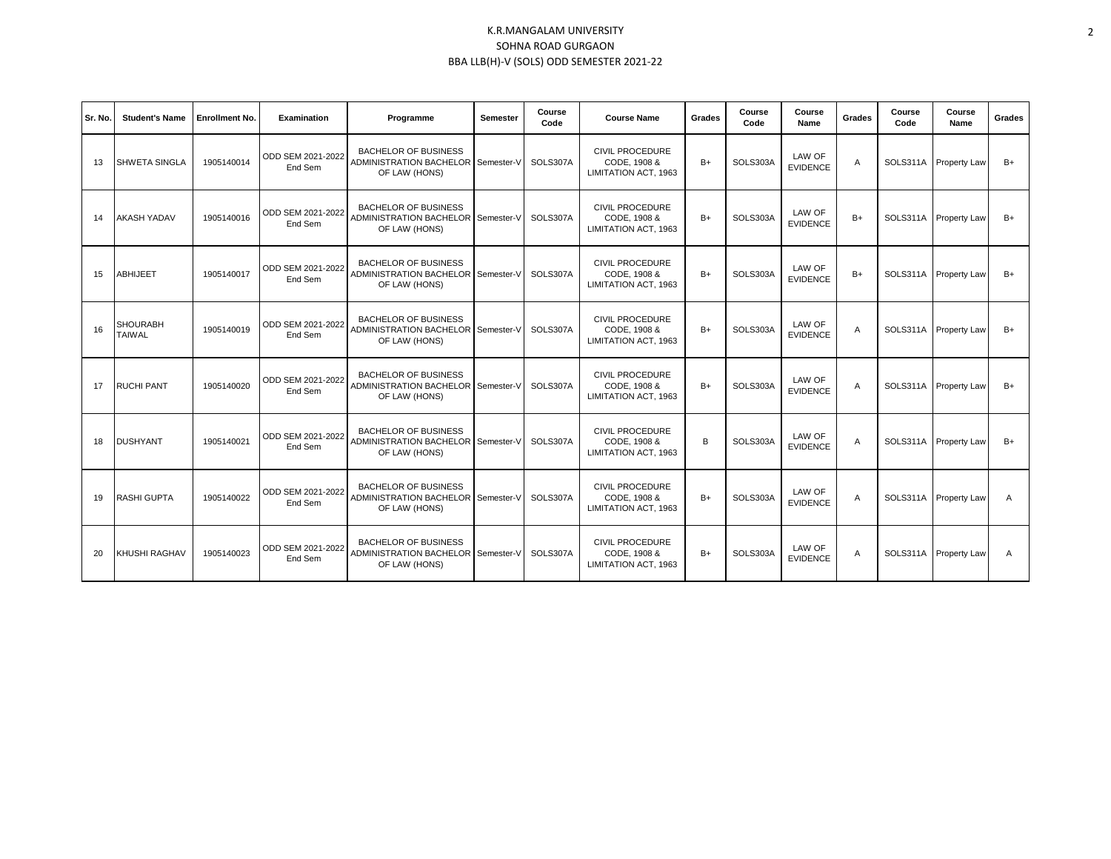| Sr. No. | <b>Student's Name</b>            | <b>Enrollment No.</b> | Examination                  | Programme                                                                                 | Semester | Course<br>Code | <b>Course Name</b>                                             | Grades | Course<br>Code | Course<br>Name            | Grades | Course<br>Code | Course<br>Name        | Grades       |
|---------|----------------------------------|-----------------------|------------------------------|-------------------------------------------------------------------------------------------|----------|----------------|----------------------------------------------------------------|--------|----------------|---------------------------|--------|----------------|-----------------------|--------------|
| 13      | <b>SHWETA SINGLA</b>             | 1905140014            | ODD SEM 2021-2022<br>End Sem | <b>BACHELOR OF BUSINESS</b><br>ADMINISTRATION BACHELOR Semester-V<br>OF LAW (HONS)        |          | SOLS307A       | <b>CIVIL PROCEDURE</b><br>CODE, 1908 &<br>LIMITATION ACT, 1963 | $B+$   | SOLS303A       | LAW OF<br><b>EVIDENCE</b> | A      |                | SOLS311A Property Law | $B+$         |
| 14      | <b>AKASH YADAV</b>               | 1905140016            | ODD SEM 2021-2022<br>End Sem | <b>BACHELOR OF BUSINESS</b><br><b>ADMINISTRATION BACHELOR Semester-V</b><br>OF LAW (HONS) |          | SOLS307A       | CIVIL PROCEDURE<br>CODE, 1908 &<br><b>LIMITATION ACT. 1963</b> | $B+$   | SOLS303A       | LAW OF<br><b>EVIDENCE</b> | $B+$   |                | SOLS311A Property Law | $B+$         |
| 15      | <b>ABHIJEET</b>                  | 1905140017            | ODD SEM 2021-2022<br>End Sem | <b>BACHELOR OF BUSINESS</b><br>ADMINISTRATION BACHELOR Semester-V<br>OF LAW (HONS)        |          | SOLS307A       | <b>CIVIL PROCEDURE</b><br>CODE, 1908 &<br>LIMITATION ACT, 1963 | $B+$   | SOLS303A       | LAW OF<br><b>EVIDENCE</b> | $B+$   |                | SOLS311A Property Law | $B+$         |
| 16      | <b>SHOURABH</b><br><b>TAIWAL</b> | 1905140019            | ODD SEM 2021-2022<br>End Sem | <b>BACHELOR OF BUSINESS</b><br>ADMINISTRATION BACHELOR Semester-V<br>OF LAW (HONS)        |          | SOLS307A       | <b>CIVIL PROCEDURE</b><br>CODE, 1908 &<br>LIMITATION ACT, 1963 | $B+$   | SOLS303A       | LAW OF<br><b>EVIDENCE</b> | A      |                | SOLS311A Property Law | $B+$         |
| 17      | <b>RUCHI PANT</b>                | 1905140020            | ODD SEM 2021-2022<br>End Sem | <b>BACHELOR OF BUSINESS</b><br><b>ADMINISTRATION BACHELOR Semester-V</b><br>OF LAW (HONS) |          | SOLS307A       | <b>CIVIL PROCEDURE</b><br>CODE, 1908 &<br>LIMITATION ACT, 1963 | $B+$   | SOLS303A       | LAW OF<br><b>EVIDENCE</b> | A      |                | SOLS311A Property Law | $B+$         |
| 18      | <b>DUSHYANT</b>                  | 1905140021            | ODD SEM 2021-2022<br>End Sem | <b>BACHELOR OF BUSINESS</b><br>ADMINISTRATION BACHELOR Semester-V<br>OF LAW (HONS)        |          | SOLS307A       | <b>CIVIL PROCEDURE</b><br>CODE, 1908 &<br>LIMITATION ACT. 1963 | B      | SOLS303A       | LAW OF<br><b>EVIDENCE</b> | A      |                | SOLS311A Property Law | $B+$         |
| 19      | <b>RASHI GUPTA</b>               | 1905140022            | ODD SEM 2021-2022<br>End Sem | <b>BACHELOR OF BUSINESS</b><br>ADMINISTRATION BACHELOR Semester-V<br>OF LAW (HONS)        |          | SOLS307A       | <b>CIVIL PROCEDURE</b><br>CODE, 1908 &<br>LIMITATION ACT, 1963 | $B+$   | SOLS303A       | LAW OF<br><b>EVIDENCE</b> | A      |                | SOLS311A Property Law | $\mathsf{A}$ |
| 20      | <b>KHUSHI RAGHAV</b>             | 1905140023            | ODD SEM 2021-2022<br>End Sem | <b>BACHELOR OF BUSINESS</b><br>ADMINISTRATION BACHELOR Semester-V<br>OF LAW (HONS)        |          | SOLS307A       | <b>CIVIL PROCEDURE</b><br>CODE, 1908 &<br>LIMITATION ACT, 1963 | $B+$   | SOLS303A       | LAW OF<br><b>EVIDENCE</b> | A      |                | SOLS311A Property Law | $\mathsf{A}$ |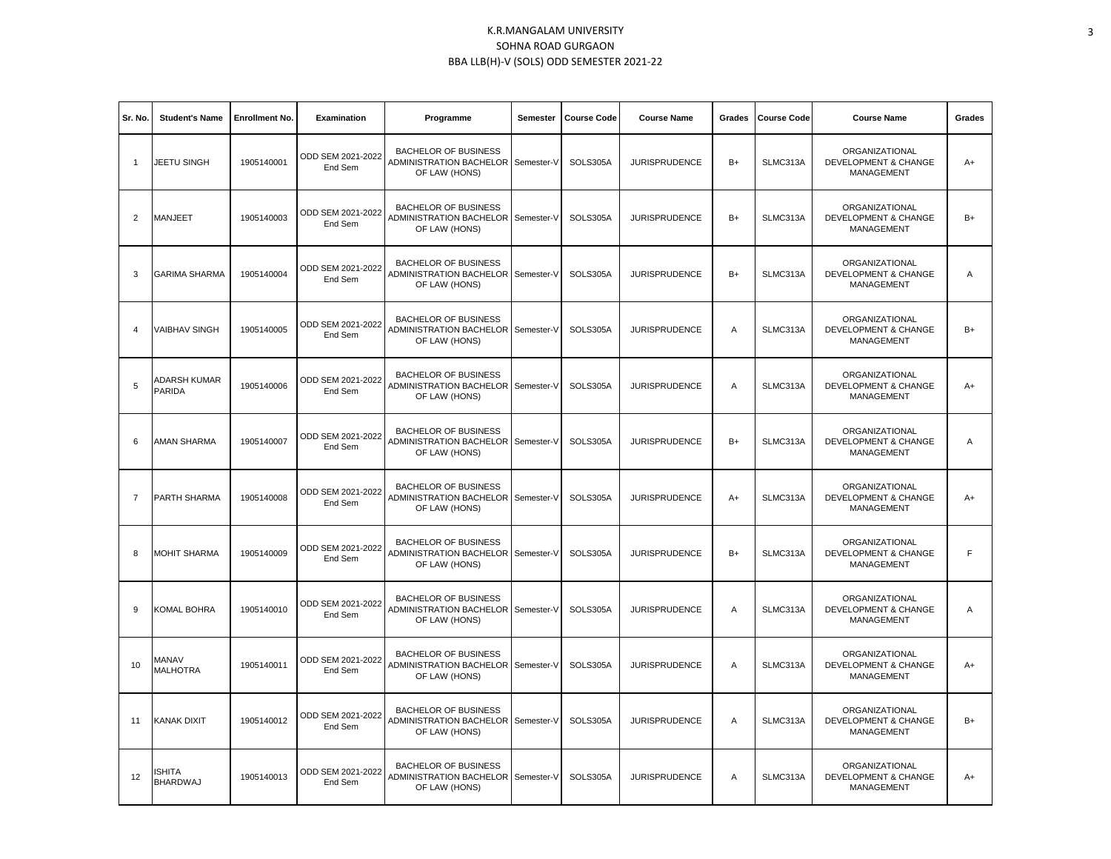| Sr. No.        | <b>Student's Name</b>           | <b>Enrollment No.</b> | Examination                  | Programme                                                                            | Semester   | <b>Course Code</b> | <b>Course Name</b>   | Grades | <b>Course Code</b> | <b>Course Name</b>                                                     | Grades         |
|----------------|---------------------------------|-----------------------|------------------------------|--------------------------------------------------------------------------------------|------------|--------------------|----------------------|--------|--------------------|------------------------------------------------------------------------|----------------|
| $\overline{1}$ | JEETU SINGH                     | 1905140001            | ODD SEM 2021-2022<br>End Sem | <b>BACHELOR OF BUSINESS</b><br>ADMINISTRATION BACHELOR<br>OF LAW (HONS)              | Semester-V | SOLS305A           | <b>JURISPRUDENCE</b> | $B+$   | SLMC313A           | ORGANIZATIONAL<br><b>DEVELOPMENT &amp; CHANGE</b><br>MANAGEMENT        | $A+$           |
| 2              | <b>MANJEET</b>                  | 1905140003            | ODD SEM 2021-2022<br>End Sem | <b>BACHELOR OF BUSINESS</b><br>ADMINISTRATION BACHELOR<br>OF LAW (HONS)              | Semester-V | SOLS305A           | <b>JURISPRUDENCE</b> | $B+$   | SLMC313A           | ORGANIZATIONAL<br><b>DEVELOPMENT &amp; CHANGE</b><br>MANAGEMENT        | $B+$           |
| 3              | <b>GARIMA SHARMA</b>            | 1905140004            | ODD SEM 2021-2022<br>End Sem | <b>BACHELOR OF BUSINESS</b><br>ADMINISTRATION BACHELOR Semester-V<br>OF LAW (HONS)   |            | SOLS305A           | <b>JURISPRUDENCE</b> | $B+$   | SLMC313A           | ORGANIZATIONAL<br><b>DEVELOPMENT &amp; CHANGE</b><br><b>MANAGEMENT</b> | $\overline{A}$ |
| $\overline{4}$ | <b>VAIBHAV SINGH</b>            | 1905140005            | ODD SEM 2021-2022<br>End Sem | <b>BACHELOR OF BUSINESS</b><br>ADMINISTRATION BACHELOR<br>OF LAW (HONS)              | Semester-V | SOLS305A           | <b>JURISPRUDENCE</b> | Α      | SLMC313A           | ORGANIZATIONAL<br><b>DEVELOPMENT &amp; CHANGE</b><br>MANAGEMENT        | $B+$           |
| 5              | ADARSH KUMAR<br><b>PARIDA</b>   | 1905140006            | ODD SEM 2021-2022<br>End Sem | <b>BACHELOR OF BUSINESS</b><br>ADMINISTRATION BACHELOR<br>OF LAW (HONS)              | Semester-V | SOLS305A           | <b>JURISPRUDENCE</b> | Α      | SLMC313A           | ORGANIZATIONAL<br><b>DEVELOPMENT &amp; CHANGE</b><br>MANAGEMENT        | A+             |
| 6              | AMAN SHARMA                     | 1905140007            | ODD SEM 2021-2022<br>End Sem | <b>BACHELOR OF BUSINESS</b><br>ADMINISTRATION BACHELOR<br>OF LAW (HONS)              | Semester-V | SOLS305A           | <b>JURISPRUDENCE</b> | $B+$   | SLMC313A           | ORGANIZATIONAL<br>DEVELOPMENT & CHANGE<br><b>MANAGEMENT</b>            | $\overline{A}$ |
| $\overline{7}$ | PARTH SHARMA                    | 1905140008            | ODD SEM 2021-2022<br>End Sem | <b>BACHELOR OF BUSINESS</b><br>ADMINISTRATION BACHELOR   Semester-V<br>OF LAW (HONS) |            | SOLS305A           | <b>JURISPRUDENCE</b> | $A+$   | SLMC313A           | ORGANIZATIONAL<br><b>DEVELOPMENT &amp; CHANGE</b><br>MANAGEMENT        | A+             |
| 8              | <b>MOHIT SHARMA</b>             | 1905140009            | ODD SEM 2021-2022<br>End Sem | <b>BACHELOR OF BUSINESS</b><br>ADMINISTRATION BACHELOR<br>OF LAW (HONS)              | Semester-V | SOLS305A           | <b>JURISPRUDENCE</b> | $B+$   | SLMC313A           | ORGANIZATIONAL<br><b>DEVELOPMENT &amp; CHANGE</b><br>MANAGEMENT        | F.             |
| 9              | <b>KOMAL BOHRA</b>              | 1905140010            | ODD SEM 2021-2022<br>End Sem | <b>BACHELOR OF BUSINESS</b><br>ADMINISTRATION BACHELOR Semester-V<br>OF LAW (HONS)   |            | SOLS305A           | <b>JURISPRUDENCE</b> | Α      | SLMC313A           | ORGANIZATIONAL<br><b>DEVELOPMENT &amp; CHANGE</b><br>MANAGEMENT        | Α              |
| 10             | <b>MANAV</b><br><b>MALHOTRA</b> | 1905140011            | ODD SEM 2021-2022<br>End Sem | <b>BACHELOR OF BUSINESS</b><br>ADMINISTRATION BACHELOR<br>OF LAW (HONS)              | Semester-V | SOLS305A           | <b>JURISPRUDENCE</b> | A      | SLMC313A           | ORGANIZATIONAL<br><b>DEVELOPMENT &amp; CHANGE</b><br><b>MANAGEMENT</b> | A+             |
| 11             | <b>KANAK DIXIT</b>              | 1905140012            | ODD SEM 2021-2022<br>End Sem | <b>BACHELOR OF BUSINESS</b><br>ADMINISTRATION BACHELOR   Semester-V<br>OF LAW (HONS) |            | SOLS305A           | <b>JURISPRUDENCE</b> | Α      | SLMC313A           | ORGANIZATIONAL<br><b>DEVELOPMENT &amp; CHANGE</b><br>MANAGEMENT        | $B+$           |
| 12             | ISHITA<br><b>BHARDWAJ</b>       | 1905140013            | ODD SEM 2021-2022<br>End Sem | <b>BACHELOR OF BUSINESS</b><br>ADMINISTRATION BACHELOR<br>OF LAW (HONS)              | Semester-V | SOLS305A           | <b>JURISPRUDENCE</b> | A      | SLMC313A           | ORGANIZATIONAL<br><b>DEVELOPMENT &amp; CHANGE</b><br>MANAGEMENT        | $A+$           |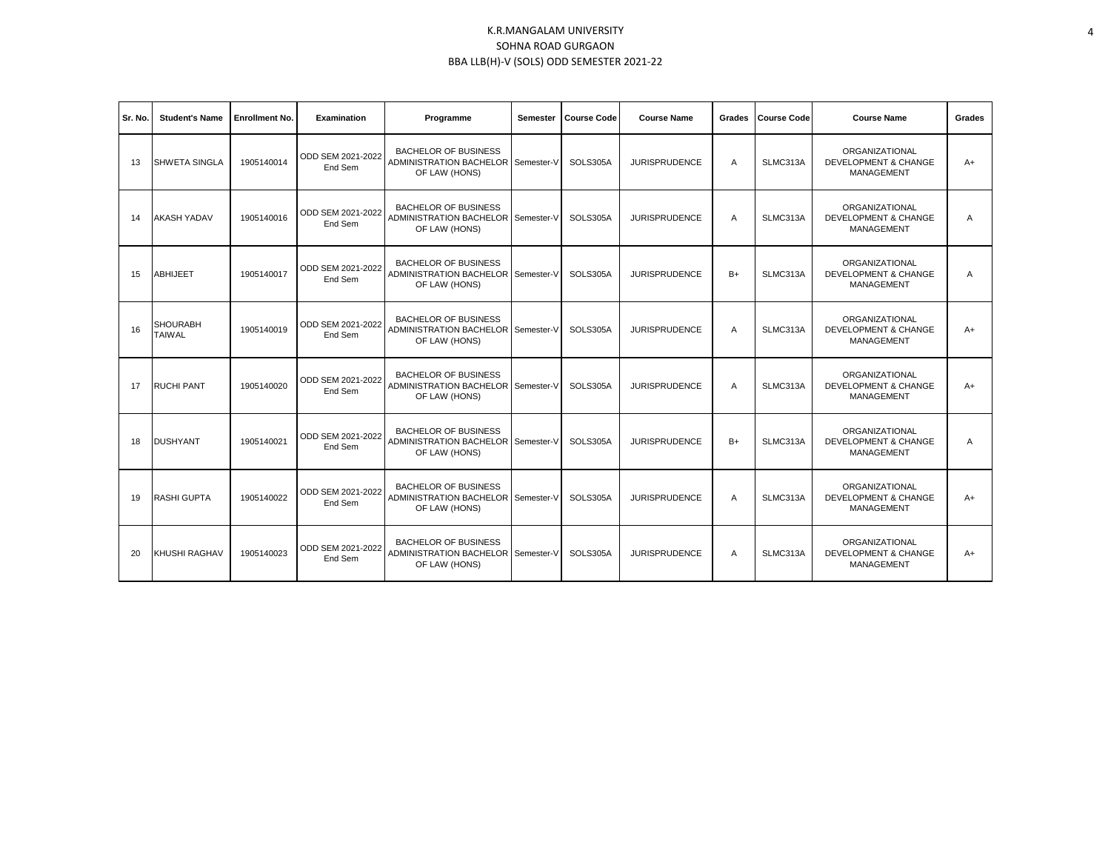| Sr. No. | <b>Student's Name</b>            | <b>Enrollment No.</b> | Examination                  | Programme                                                                          | Semester | <b>Course Code</b> | <b>Course Name</b>   | Grades | <b>Course Code</b> | <b>Course Name</b>                                                     | Grades |
|---------|----------------------------------|-----------------------|------------------------------|------------------------------------------------------------------------------------|----------|--------------------|----------------------|--------|--------------------|------------------------------------------------------------------------|--------|
| 13      | <b>SHWETA SINGLA</b>             | 1905140014            | ODD SEM 2021-2022<br>End Sem | <b>BACHELOR OF BUSINESS</b><br>ADMINISTRATION BACHELOR Semester-V<br>OF LAW (HONS) |          | SOLS305A           | <b>JURISPRUDENCE</b> | A      | SLMC313A           | ORGANIZATIONAL<br><b>DEVELOPMENT &amp; CHANGE</b><br><b>MANAGEMENT</b> | $A+$   |
| 14      | <b>AKASH YADAV</b>               | 1905140016            | ODD SEM 2021-2022<br>End Sem | <b>BACHELOR OF BUSINESS</b><br>ADMINISTRATION BACHELOR Semester-V<br>OF LAW (HONS) |          | SOLS305A           | <b>JURISPRUDENCE</b> | A      | SLMC313A           | ORGANIZATIONAL<br><b>DEVELOPMENT &amp; CHANGE</b><br><b>MANAGEMENT</b> | A      |
| 15      | <b>ABHIJEET</b>                  | 1905140017            | ODD SEM 2021-2022<br>End Sem | <b>BACHELOR OF BUSINESS</b><br>ADMINISTRATION BACHELOR Semester-V<br>OF LAW (HONS) |          | SOLS305A           | <b>JURISPRUDENCE</b> | $B+$   | SLMC313A           | ORGANIZATIONAL<br><b>DEVELOPMENT &amp; CHANGE</b><br><b>MANAGEMENT</b> | A      |
| 16      | <b>SHOURABH</b><br><b>TAIWAL</b> | 1905140019            | ODD SEM 2021-2022<br>End Sem | <b>BACHELOR OF BUSINESS</b><br>ADMINISTRATION BACHELOR Semester-V<br>OF LAW (HONS) |          | SOLS305A           | <b>JURISPRUDENCE</b> | A      | SLMC313A           | ORGANIZATIONAL<br><b>DEVELOPMENT &amp; CHANGE</b><br>MANAGEMENT        | $A+$   |
| 17      | <b>RUCHI PANT</b>                | 1905140020            | ODD SEM 2021-2022<br>End Sem | <b>BACHELOR OF BUSINESS</b><br>ADMINISTRATION BACHELOR Semester-V<br>OF LAW (HONS) |          | SOLS305A           | <b>JURISPRUDENCE</b> | A      | SLMC313A           | ORGANIZATIONAL<br><b>DEVELOPMENT &amp; CHANGE</b><br>MANAGEMENT        | $A+$   |
| 18      | <b>DUSHYANT</b>                  | 1905140021            | ODD SEM 2021-2022<br>End Sem | <b>BACHELOR OF BUSINESS</b><br>ADMINISTRATION BACHELOR Semester-V<br>OF LAW (HONS) |          | SOLS305A           | <b>JURISPRUDENCE</b> | $B+$   | SLMC313A           | ORGANIZATIONAL<br><b>DEVELOPMENT &amp; CHANGE</b><br><b>MANAGEMENT</b> | A      |
| 19      | <b>RASHI GUPTA</b>               | 1905140022            | ODD SEM 2021-2022<br>End Sem | <b>BACHELOR OF BUSINESS</b><br>ADMINISTRATION BACHELOR Semester-V<br>OF LAW (HONS) |          | SOLS305A           | <b>JURISPRUDENCE</b> | A      | SLMC313A           | ORGANIZATIONAL<br><b>DEVELOPMENT &amp; CHANGE</b><br><b>MANAGEMENT</b> | $A+$   |
| 20      | KHUSHI RAGHAV                    | 1905140023            | ODD SEM 2021-2022<br>End Sem | <b>BACHELOR OF BUSINESS</b><br>ADMINISTRATION BACHELOR Semester-V<br>OF LAW (HONS) |          | SOLS305A           | <b>JURISPRUDENCE</b> | A      | SLMC313A           | ORGANIZATIONAL<br><b>DEVELOPMENT &amp; CHANGE</b><br>MANAGEMENT        | $A+$   |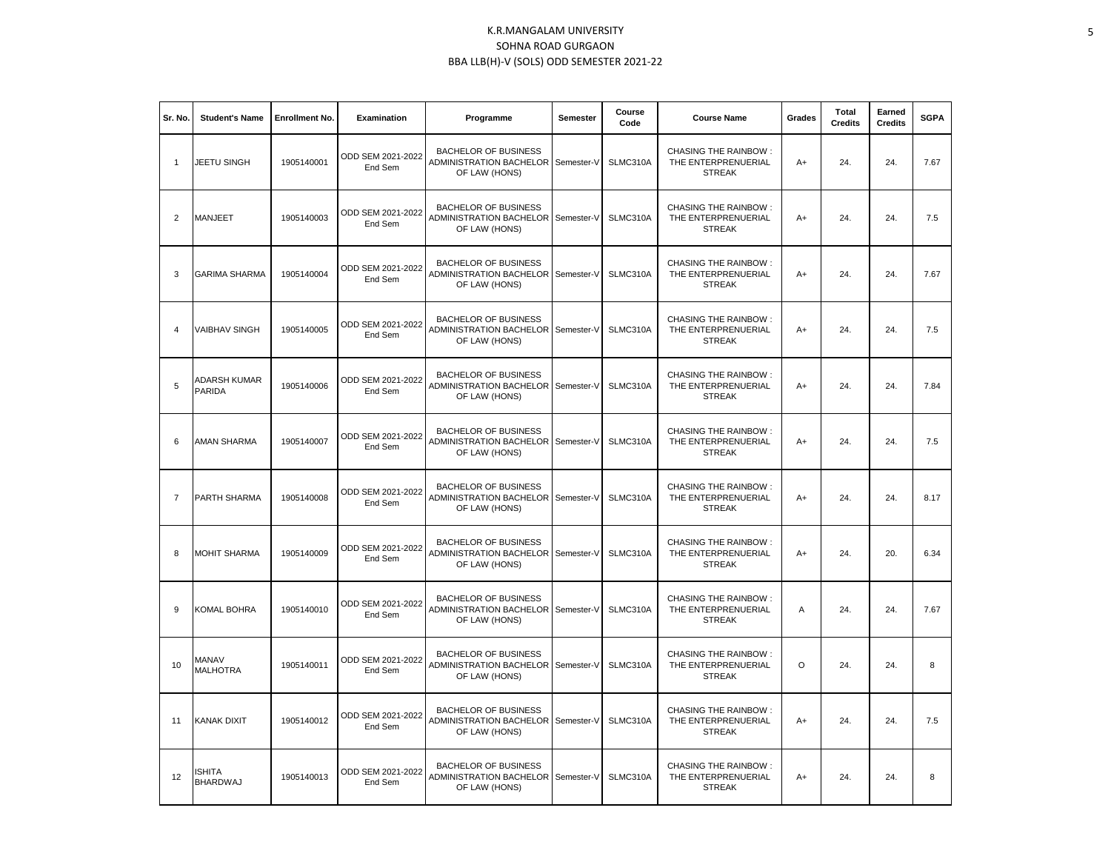| Sr. No.        | <b>Student's Name</b>           | <b>Enrollment No.</b> | Examination                  | Programme                                                               | <b>Semester</b> | Course<br>Code | <b>Course Name</b>                                                  | Grades  | <b>Total</b><br><b>Credits</b> | Earned<br><b>Credits</b> | <b>SGPA</b> |
|----------------|---------------------------------|-----------------------|------------------------------|-------------------------------------------------------------------------|-----------------|----------------|---------------------------------------------------------------------|---------|--------------------------------|--------------------------|-------------|
| $\overline{1}$ | JEETU SINGH                     | 1905140001            | ODD SEM 2021-2022<br>End Sem | <b>BACHELOR OF BUSINESS</b><br>ADMINISTRATION BACHELOR<br>OF LAW (HONS) | Semester-V      | SLMC310A       | <b>CHASING THE RAINBOW:</b><br>THE ENTERPRENUERIAL<br><b>STREAK</b> | $A+$    | 24.                            | 24.                      | 7.67        |
| $\overline{2}$ | MANJEET                         | 1905140003            | ODD SEM 2021-2022<br>End Sem | <b>BACHELOR OF BUSINESS</b><br>ADMINISTRATION BACHELOR<br>OF LAW (HONS) | Semester-V      | SLMC310A       | <b>CHASING THE RAINBOW:</b><br>THE ENTERPRENUERIAL<br><b>STREAK</b> | A+      | 24.                            | 24.                      | 7.5         |
| 3              | <b>GARIMA SHARMA</b>            | 1905140004            | ODD SEM 2021-2022<br>End Sem | <b>BACHELOR OF BUSINESS</b><br>ADMINISTRATION BACHELOR<br>OF LAW (HONS) | Semester-V      | SLMC310A       | <b>CHASING THE RAINBOW:</b><br>THE ENTERPRENUERIAL<br><b>STREAK</b> | $A+$    | 24.                            | 24.                      | 7.67        |
| $\overline{4}$ | <b>VAIBHAV SINGH</b>            | 1905140005            | ODD SEM 2021-2022<br>End Sem | <b>BACHELOR OF BUSINESS</b><br>ADMINISTRATION BACHELOR<br>OF LAW (HONS) | Semester-V      | SLMC310A       | <b>CHASING THE RAINBOW:</b><br>THE ENTERPRENUERIAL<br><b>STREAK</b> | $A+$    | 24.                            | 24.                      | 7.5         |
| 5              | ADARSH KUMAR<br><b>PARIDA</b>   | 1905140006            | ODD SEM 2021-2022<br>End Sem | <b>BACHELOR OF BUSINESS</b><br>ADMINISTRATION BACHELOR<br>OF LAW (HONS) | Semester-V      | SLMC310A       | <b>CHASING THE RAINBOW:</b><br>THE ENTERPRENUERIAL<br><b>STREAK</b> | $A+$    | 24.                            | 24.                      | 7.84        |
| 6              | AMAN SHARMA                     | 1905140007            | ODD SEM 2021-2022<br>End Sem | <b>BACHELOR OF BUSINESS</b><br>ADMINISTRATION BACHELOR<br>OF LAW (HONS) | Semester-V      | SLMC310A       | <b>CHASING THE RAINBOW:</b><br>THE ENTERPRENUERIAL<br><b>STREAK</b> | $A+$    | 24.                            | 24.                      | 7.5         |
| $\overline{7}$ | PARTH SHARMA                    | 1905140008            | ODD SEM 2021-2022<br>End Sem | <b>BACHELOR OF BUSINESS</b><br>ADMINISTRATION BACHELOR<br>OF LAW (HONS) | Semester-V      | SLMC310A       | <b>CHASING THE RAINBOW:</b><br>THE ENTERPRENUERIAL<br><b>STREAK</b> | $A+$    | 24.                            | 24.                      | 8.17        |
| 8              | <b>MOHIT SHARMA</b>             | 1905140009            | ODD SEM 2021-2022<br>End Sem | <b>BACHELOR OF BUSINESS</b><br>ADMINISTRATION BACHELOR<br>OF LAW (HONS) | Semester-V      | SLMC310A       | <b>CHASING THE RAINBOW:</b><br>THE ENTERPRENUERIAL<br><b>STREAK</b> | $A+$    | 24.                            | 20.                      | 6.34        |
| 9              | KOMAL BOHRA                     | 1905140010            | ODD SEM 2021-2022<br>End Sem | <b>BACHELOR OF BUSINESS</b><br>ADMINISTRATION BACHELOR<br>OF LAW (HONS) | Semester-V      | SLMC310A       | <b>CHASING THE RAINBOW:</b><br>THE ENTERPRENUERIAL<br><b>STREAK</b> | A       | 24.                            | 24.                      | 7.67        |
| 10             | <b>MANAV</b><br><b>MALHOTRA</b> | 1905140011            | ODD SEM 2021-2022<br>End Sem | <b>BACHELOR OF BUSINESS</b><br>ADMINISTRATION BACHELOR<br>OF LAW (HONS) | Semester-V      | SLMC310A       | <b>CHASING THE RAINBOW:</b><br>THE ENTERPRENUERIAL<br><b>STREAK</b> | $\circ$ | 24.                            | 24.                      | 8           |
| 11             | <b>KANAK DIXIT</b>              | 1905140012            | ODD SEM 2021-2022<br>End Sem | <b>BACHELOR OF BUSINESS</b><br>ADMINISTRATION BACHELOR<br>OF LAW (HONS) | Semester-V      | SLMC310A       | <b>CHASING THE RAINBOW:</b><br>THE ENTERPRENUERIAL<br><b>STREAK</b> | $A+$    | 24.                            | 24.                      | 7.5         |
| 12             | ISHITA<br><b>BHARDWAJ</b>       | 1905140013            | ODD SEM 2021-2022<br>End Sem | <b>BACHELOR OF BUSINESS</b><br>ADMINISTRATION BACHELOR<br>OF LAW (HONS) | Semester-V      | SLMC310A       | <b>CHASING THE RAINBOW:</b><br>THE ENTERPRENUERIAL<br><b>STREAK</b> | A+      | 24.                            | 24.                      | 8           |